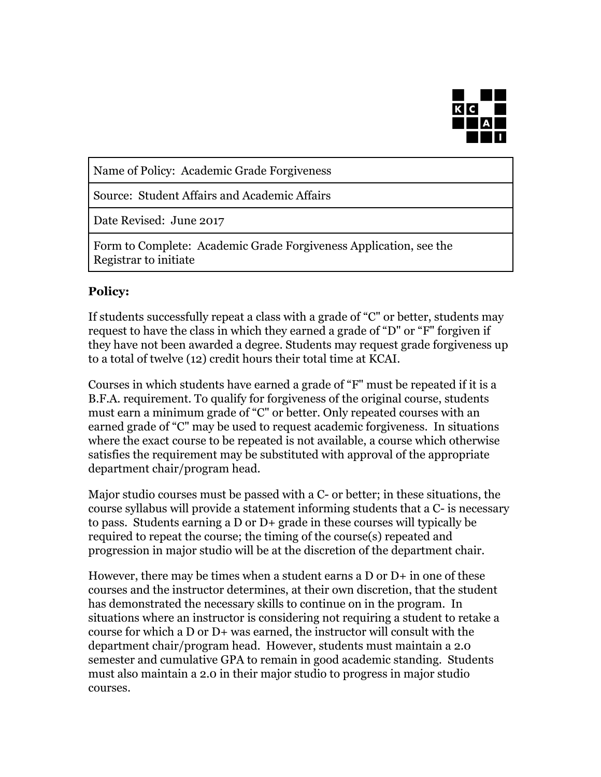

Name of Policy: Academic Grade Forgiveness

Source: Student Affairs and Academic Affairs

Date Revised: June 2017

Form to Complete: Academic Grade Forgiveness Application, see the Registrar to initiate

## **Policy:**

If students successfully repeat a class with a grade of "C" or better, students may request to have the class in which they earned a grade of "D" or "F" forgiven if they have not been awarded a degree. Students may request grade forgiveness up to a total of twelve (12) credit hours their total time at KCAI.

Courses in which students have earned a grade of "F" must be repeated if it is a B.F.A. requirement. To qualify for forgiveness of the original course, students must earn a minimum grade of "C" or better. Only repeated courses with an earned grade of "C" may be used to request academic forgiveness. In situations where the exact course to be repeated is not available, a course which otherwise satisfies the requirement may be substituted with approval of the appropriate department chair/program head.

Major studio courses must be passed with a C- or better; in these situations, the course syllabus will provide a statement informing students that a C- is necessary to pass. Students earning a D or D+ grade in these courses will typically be required to repeat the course; the timing of the course(s) repeated and progression in major studio will be at the discretion of the department chair.

However, there may be times when a student earns a  $D$  or  $D+$  in one of these courses and the instructor determines, at their own discretion, that the student has demonstrated the necessary skills to continue on in the program. In situations where an instructor is considering not requiring a student to retake a course for which a D or D+ was earned, the instructor will consult with the department chair/program head. However, students must maintain a 2.0 semester and cumulative GPA to remain in good academic standing. Students must also maintain a 2.0 in their major studio to progress in major studio courses.